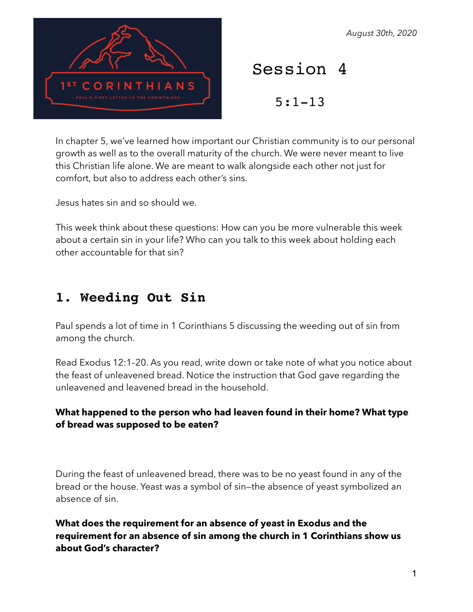RINTHIANS

#### *August 30th, 2020*

Session 4

5:1-13

In chapter 5, we've learned how important our Christian community is to our personal growth as well as to the overall maturity of the church. We were never meant to live this Christian life alone. We are meant to walk alongside each other not just for comfort, but also to address each other's sins.

Jesus hates sin and so should we.

This week think about these questions: How can you be more vulnerable this week about a certain sin in your life? Who can you talk to this week about holding each other accountable for that sin?

# **1. Weeding Out Sin**

Paul spends a lot of time in 1 Corinthians 5 discussing the weeding out of sin from among the church.

Read Exodus 12:1–20. As you read, write down or take note of what you notice about the feast of unleavened bread. Notice the instruction that God gave regarding the unleavened and leavened bread in the household.

### **What happened to the person who had leaven found in their home? What type of bread was supposed to be eaten?**

During the feast of unleavened bread, there was to be no yeast found in any of the bread or the house. Yeast was a symbol of sin—the absence of yeast symbolized an absence of sin.

**What does the requirement for an absence of yeast in Exodus and the requirement for an absence of sin among the church in 1 Corinthians show us about God's character?**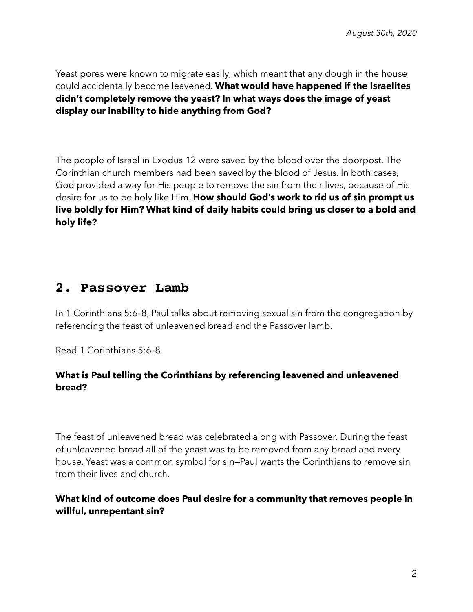Yeast pores were known to migrate easily, which meant that any dough in the house could accidentally become leavened. **What would have happened if the Israelites didn't completely remove the yeast? In what ways does the image of yeast display our inability to hide anything from God?** 

The people of Israel in Exodus 12 were saved by the blood over the doorpost. The Corinthian church members had been saved by the blood of Jesus. In both cases, God provided a way for His people to remove the sin from their lives, because of His desire for us to be holy like Him. **How should God's work to rid us of sin prompt us live boldly for Him? What kind of daily habits could bring us closer to a bold and holy life?**

### **2. Passover Lamb**

In 1 Corinthians 5:6–8, Paul talks about removing sexual sin from the congregation by referencing the feast of unleavened bread and the Passover lamb.

Read 1 Corinthians 5:6–8.

#### **What is Paul telling the Corinthians by referencing leavened and unleavened bread?**

The feast of unleavened bread was celebrated along with Passover. During the feast of unleavened bread all of the yeast was to be removed from any bread and every house. Yeast was a common symbol for sin—Paul wants the Corinthians to remove sin from their lives and church.

### **What kind of outcome does Paul desire for a community that removes people in willful, unrepentant sin?**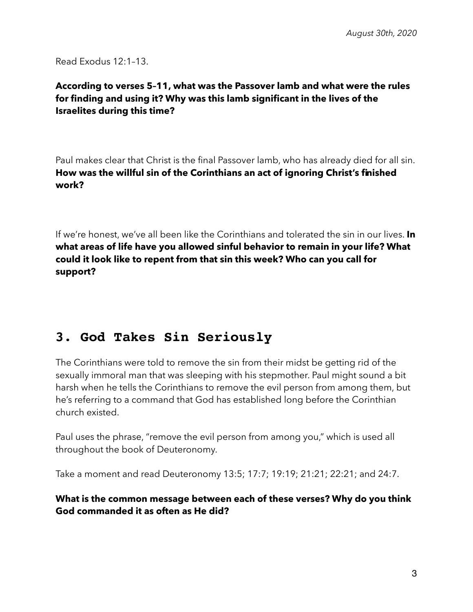Read Exodus 12:1–13.

### **According to verses 5–11, what was the Passover lamb and what were the rules for finding and using it? Why was this lamb significant in the lives of the Israelites during this time?**

Paul makes clear that Christ is the final Passover lamb, who has already died for all sin. **How was the willful sin of the Corinthians an act of ignoring Christ's finished work?** 

If we're honest, we've all been like the Corinthians and tolerated the sin in our lives. **In what areas of life have you allowed sinful behavior to remain in your life? What could it look like to repent from that sin this week? Who can you call for support?**

# **3. God Takes Sin Seriously**

The Corinthians were told to remove the sin from their midst be getting rid of the sexually immoral man that was sleeping with his stepmother. Paul might sound a bit harsh when he tells the Corinthians to remove the evil person from among them, but he's referring to a command that God has established long before the Corinthian church existed.

Paul uses the phrase, "remove the evil person from among you," which is used all throughout the book of Deuteronomy.

Take a moment and read Deuteronomy 13:5; 17:7; 19:19; 21:21; 22:21; and 24:7.

#### **What is the common message between each of these verses? Why do you think God commanded it as often as He did?**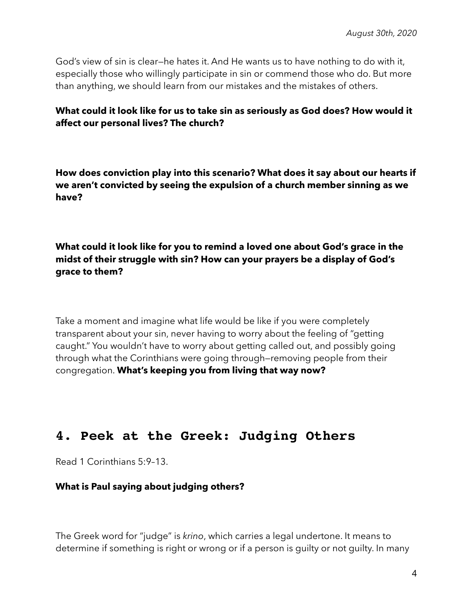God's view of sin is clear—he hates it. And He wants us to have nothing to do with it, especially those who willingly participate in sin or commend those who do. But more than anything, we should learn from our mistakes and the mistakes of others.

#### **What could it look like for us to take sin as seriously as God does? How would it affect our personal lives? The church?**

**How does conviction play into this scenario? What does it say about our hearts if we aren't convicted by seeing the expulsion of a church member sinning as we have?**

**What could it look like for you to remind a loved one about God's grace in the midst of their struggle with sin? How can your prayers be a display of God's grace to them?** 

Take a moment and imagine what life would be like if you were completely transparent about your sin, never having to worry about the feeling of "getting caught." You wouldn't have to worry about getting called out, and possibly going through what the Corinthians were going through—removing people from their congregation. **What's keeping you from living that way now?**

# **4. Peek at the Greek: Judging Others**

Read 1 Corinthians 5:9–13.

#### **What is Paul saying about judging others?**

The Greek word for "judge" is *krino*, which carries a legal undertone. It means to determine if something is right or wrong or if a person is guilty or not guilty. In many